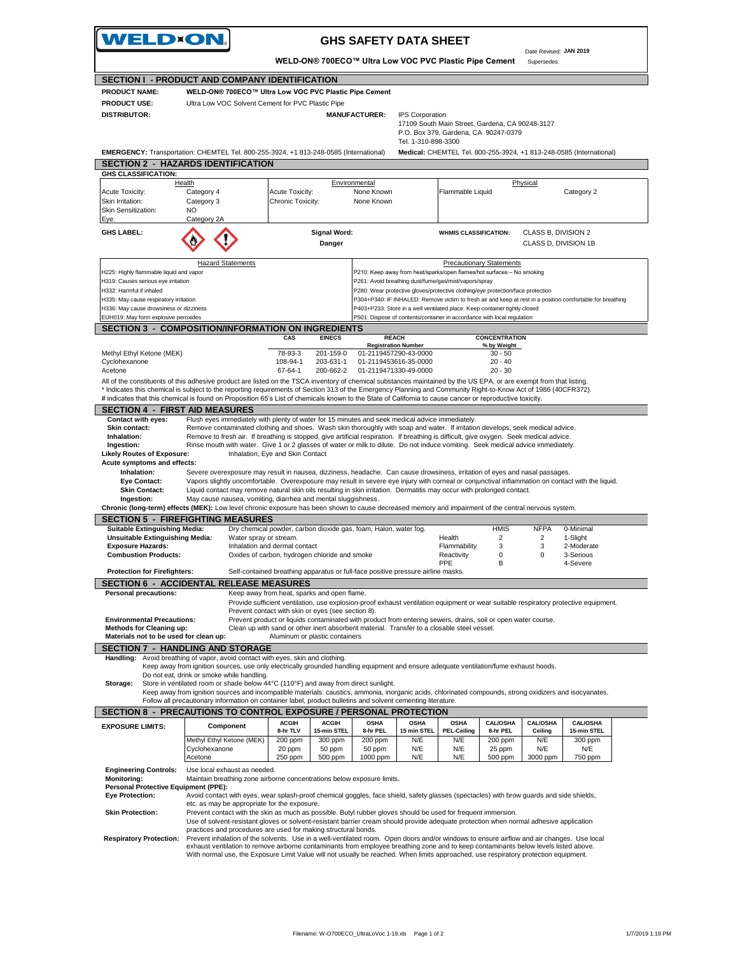| WELD×ON.<br><b>GHS SAFETY DATA SHEET</b><br>Date Revised: JAN 2019              |                                                                                                                                                                                                                                                                                   |                                                                                  |                              |                               |                                                |                                                                                                                                                       |                                     |                        |                                                                                                                                      |  |
|---------------------------------------------------------------------------------|-----------------------------------------------------------------------------------------------------------------------------------------------------------------------------------------------------------------------------------------------------------------------------------|----------------------------------------------------------------------------------|------------------------------|-------------------------------|------------------------------------------------|-------------------------------------------------------------------------------------------------------------------------------------------------------|-------------------------------------|------------------------|--------------------------------------------------------------------------------------------------------------------------------------|--|
|                                                                                 |                                                                                                                                                                                                                                                                                   |                                                                                  |                              |                               |                                                | WELD-ON® 700ECO™ Ultra Low VOC PVC Plastic Pipe Cement                                                                                                |                                     | Supersedes:            |                                                                                                                                      |  |
|                                                                                 | SECTION I - PRODUCT AND COMPANY IDENTIFICATION                                                                                                                                                                                                                                    |                                                                                  |                              |                               |                                                |                                                                                                                                                       |                                     |                        |                                                                                                                                      |  |
| <b>PRODUCT NAME:</b>                                                            | WELD-ON® 700ECO™ Ultra Low VOC PVC Plastic Pipe Cement                                                                                                                                                                                                                            |                                                                                  |                              |                               |                                                |                                                                                                                                                       |                                     |                        |                                                                                                                                      |  |
| <b>PRODUCT USE:</b><br><b>DISTRIBUTOR:</b>                                      | Ultra Low VOC Solvent Cement for PVC Plastic Pipe                                                                                                                                                                                                                                 |                                                                                  |                              |                               |                                                |                                                                                                                                                       |                                     |                        |                                                                                                                                      |  |
|                                                                                 | <b>MANUFACTURER:</b><br>IPS Corporation<br>17109 South Main Street, Gardena, CA 90248-3127<br>P.O. Box 379, Gardena, CA 90247-0379                                                                                                                                                |                                                                                  |                              |                               |                                                |                                                                                                                                                       |                                     |                        |                                                                                                                                      |  |
|                                                                                 | EMERGENCY: Transportation: CHEMTEL Tel. 800-255-3924, +1 813-248-0585 (International)                                                                                                                                                                                             |                                                                                  |                              |                               | Tel. 1-310-898-3300                            |                                                                                                                                                       |                                     |                        | Medical: CHEMTEL Tel. 800-255-3924, +1 813-248-0585 (International)                                                                  |  |
|                                                                                 | <b>SECTION 2 - HAZARDS IDENTIFICATION</b>                                                                                                                                                                                                                                         |                                                                                  |                              |                               |                                                |                                                                                                                                                       |                                     |                        |                                                                                                                                      |  |
| <b>GHS CLASSIFICATION:</b>                                                      |                                                                                                                                                                                                                                                                                   |                                                                                  |                              |                               |                                                |                                                                                                                                                       |                                     |                        |                                                                                                                                      |  |
| Acute Toxicity:                                                                 | Health<br>Category 4                                                                                                                                                                                                                                                              | Acute Toxicity:                                                                  |                              | Environmental<br>None Known   |                                                | Flammable Liquid                                                                                                                                      |                                     | Physical               | Category 2                                                                                                                           |  |
| Skin Irritation:                                                                | Category 3                                                                                                                                                                                                                                                                        | Chronic Toxicity:                                                                |                              | None Known                    |                                                |                                                                                                                                                       |                                     |                        |                                                                                                                                      |  |
| Skin Sensitization:                                                             | NO<br>Category 2A                                                                                                                                                                                                                                                                 |                                                                                  |                              |                               |                                                |                                                                                                                                                       |                                     |                        |                                                                                                                                      |  |
| Eye:<br><b>GHS LABEL:</b>                                                       |                                                                                                                                                                                                                                                                                   |                                                                                  | <b>Signal Word:</b>          |                               |                                                | <b>WHMIS CLASSIFICATION:</b>                                                                                                                          |                                     | CLASS B, DIVISION 2    |                                                                                                                                      |  |
|                                                                                 |                                                                                                                                                                                                                                                                                   |                                                                                  | Danger                       |                               |                                                |                                                                                                                                                       |                                     | CLASS D, DIVISION 1B   |                                                                                                                                      |  |
|                                                                                 | <b>Hazard Statements</b>                                                                                                                                                                                                                                                          |                                                                                  |                              |                               |                                                |                                                                                                                                                       | <b>Precautionary Statements</b>     |                        |                                                                                                                                      |  |
| H225: Highly flammable liquid and vapor<br>H319: Causes serious eye irritation  |                                                                                                                                                                                                                                                                                   |                                                                                  |                              |                               |                                                | P210: Keep away from heat/sparks/open flames/hot surfaces - No smoking<br>P261: Avoid breathing dust/fume/gas/mist/vapors/spray                       |                                     |                        |                                                                                                                                      |  |
| H332: Harmful if inhaled                                                        |                                                                                                                                                                                                                                                                                   |                                                                                  |                              |                               |                                                | P280: Wear protective gloves/protective clothing/eye protection/face protection                                                                       |                                     |                        |                                                                                                                                      |  |
| H335: May cause respiratory irritation                                          |                                                                                                                                                                                                                                                                                   |                                                                                  |                              |                               |                                                |                                                                                                                                                       |                                     |                        | P304+P340: IF INHALED: Remove victim to fresh air and keep at rest in a position comfortable for breathing                           |  |
| H336: May cause drowsiness or dizziness<br>EUH019: May form explosive peroxides |                                                                                                                                                                                                                                                                                   |                                                                                  |                              |                               |                                                | P403+P233: Store in a well ventilated place. Keep container tightly closed<br>P501: Dispose of contents/container in accordance with local regulation |                                     |                        |                                                                                                                                      |  |
|                                                                                 | <b>SECTION 3 - COMPOSITION/INFORMATION ON INGREDIENTS</b>                                                                                                                                                                                                                         |                                                                                  |                              |                               |                                                |                                                                                                                                                       |                                     |                        |                                                                                                                                      |  |
|                                                                                 |                                                                                                                                                                                                                                                                                   | CAS                                                                              | <b>EINECS</b>                | <b>REACH</b>                  | <b>Registration Number</b>                     |                                                                                                                                                       | <b>CONCENTRATION</b><br>% by Weight |                        |                                                                                                                                      |  |
| Methyl Ethyl Ketone (MEK)                                                       |                                                                                                                                                                                                                                                                                   | 78-93-3                                                                          | 201-159-0                    |                               | 01-2119457290-43-0000                          |                                                                                                                                                       | $30 - 50$                           |                        |                                                                                                                                      |  |
| Cyclohexanone<br>Acetone                                                        |                                                                                                                                                                                                                                                                                   | 108-94-1<br>67-64-1                                                              | 203-631-1<br>200-662-2       |                               | 01-2119453616-35-0000<br>01-2119471330-49-0000 |                                                                                                                                                       | $20 - 40$<br>$20 - 30$              |                        |                                                                                                                                      |  |
|                                                                                 | All of the constituents of this adhesive product are listed on the TSCA inventory of chemical substances maintained by the US EPA, or are exempt from that listing.                                                                                                               |                                                                                  |                              |                               |                                                |                                                                                                                                                       |                                     |                        |                                                                                                                                      |  |
|                                                                                 | * Indicates this chemical is subject to the reporting requirements of Section 313 of the Emergency Planning and Community Right-to-Know Act of 1986 (40CFR372).                                                                                                                   |                                                                                  |                              |                               |                                                |                                                                                                                                                       |                                     |                        |                                                                                                                                      |  |
| <b>SECTION 4 - FIRST AID MEASURES</b>                                           | # indicates that this chemical is found on Proposition 65's List of chemicals known to the State of California to cause cancer or reproductive toxicity.                                                                                                                          |                                                                                  |                              |                               |                                                |                                                                                                                                                       |                                     |                        |                                                                                                                                      |  |
| Contact with eyes:                                                              | Flush eyes immediately with plenty of water for 15 minutes and seek medical advice immediately.                                                                                                                                                                                   |                                                                                  |                              |                               |                                                |                                                                                                                                                       |                                     |                        |                                                                                                                                      |  |
| Skin contact:                                                                   | Remove contaminated clothing and shoes. Wash skin thoroughly with soap and water. If irritation develops, seek medical advice.                                                                                                                                                    |                                                                                  |                              |                               |                                                |                                                                                                                                                       |                                     |                        |                                                                                                                                      |  |
| Inhalation:<br>Ingestion:                                                       | Remove to fresh air. If breathing is stopped, give artificial respiration. If breathing is difficult, give oxygen. Seek medical advice.<br>Rinse mouth with water. Give 1 or 2 glasses of water or milk to dilute. Do not induce vomiting. Seek medical advice immediately.       |                                                                                  |                              |                               |                                                |                                                                                                                                                       |                                     |                        |                                                                                                                                      |  |
| <b>Likely Routes of Exposure:</b>                                               |                                                                                                                                                                                                                                                                                   | Inhalation, Eye and Skin Contact                                                 |                              |                               |                                                |                                                                                                                                                       |                                     |                        |                                                                                                                                      |  |
| Acute symptoms and effects:<br>Inhalation:                                      | Severe overexposure may result in nausea, dizziness, headache. Can cause drowsiness, irritation of eyes and nasal passages.                                                                                                                                                       |                                                                                  |                              |                               |                                                |                                                                                                                                                       |                                     |                        |                                                                                                                                      |  |
| Eye Contact:                                                                    | Vapors slightly uncomfortable. Overexposure may result in severe eye injury with corneal or conjunctival inflammation on contact with the liquid.                                                                                                                                 |                                                                                  |                              |                               |                                                |                                                                                                                                                       |                                     |                        |                                                                                                                                      |  |
| <b>Skin Contact:</b>                                                            | Liquid contact may remove natural skin oils resulting in skin irritation. Dermatitis may occur with prolonged contact.                                                                                                                                                            |                                                                                  |                              |                               |                                                |                                                                                                                                                       |                                     |                        |                                                                                                                                      |  |
| Ingestion:                                                                      | May cause nausea, vomiting, diarrhea and mental sluggishness.<br>Chronic (long-term) effects (MEK): Low level chronic exposure has been shown to cause decreased memory and impairment of the central nervous system.                                                             |                                                                                  |                              |                               |                                                |                                                                                                                                                       |                                     |                        |                                                                                                                                      |  |
|                                                                                 | <b>SECTION 5 - FIREFIGHTING MEASURES</b>                                                                                                                                                                                                                                          |                                                                                  |                              |                               |                                                |                                                                                                                                                       |                                     |                        |                                                                                                                                      |  |
| <b>Suitable Extinguishing Media:</b>                                            |                                                                                                                                                                                                                                                                                   | Dry chemical powder, carbon dioxide gas, foam, Halon, water fog.                 |                              |                               |                                                |                                                                                                                                                       | <b>HMIS</b>                         | <b>NFPA</b>            | 0-Minimal                                                                                                                            |  |
| <b>Unsuitable Extinguishing Media:</b><br><b>Exposure Hazards:</b>              | Water spray or stream.                                                                                                                                                                                                                                                            | Inhalation and dermal contact                                                    |                              |                               |                                                | Health<br>Flammability                                                                                                                                | $\overline{2}$<br>3                 | $\overline{2}$<br>3    | 1-Slight<br>2-Moderate                                                                                                               |  |
| <b>Combustion Products:</b>                                                     |                                                                                                                                                                                                                                                                                   | Oxides of carbon, hydrogen chloride and smoke                                    |                              |                               |                                                | Reactivity                                                                                                                                            | 0                                   | $\Omega$               | 3-Serious                                                                                                                            |  |
| <b>Protection for Firefighters:</b>                                             |                                                                                                                                                                                                                                                                                   | Self-contained breathing apparatus or full-face positive pressure airline masks. |                              |                               |                                                | PPE                                                                                                                                                   | B                                   |                        | 4-Severe                                                                                                                             |  |
|                                                                                 | <b>SECTION 6 - ACCIDENTAL RELEASE MEASURES</b>                                                                                                                                                                                                                                    |                                                                                  |                              |                               |                                                |                                                                                                                                                       |                                     |                        |                                                                                                                                      |  |
| Personal precautions:                                                           |                                                                                                                                                                                                                                                                                   | Keep away from heat, sparks and open flame.                                      |                              |                               |                                                |                                                                                                                                                       |                                     |                        |                                                                                                                                      |  |
|                                                                                 |                                                                                                                                                                                                                                                                                   | Prevent contact with skin or eves (see section 8).                               |                              |                               |                                                |                                                                                                                                                       |                                     |                        | Provide sufficient ventilation, use explosion-proof exhaust ventilation equipment or wear suitable respiratory protective equipment. |  |
| <b>Environmental Precautions:</b>                                               |                                                                                                                                                                                                                                                                                   |                                                                                  |                              |                               |                                                | Prevent product or liquids contaminated with product from entering sewers, drains, soil or open water course.                                         |                                     |                        |                                                                                                                                      |  |
| <b>Methods for Cleaning up:</b>                                                 |                                                                                                                                                                                                                                                                                   | Aluminum or plastic containers                                                   |                              |                               |                                                | Clean up with sand or other inert absorbent material. Transfer to a closable steel vessel.                                                            |                                     |                        |                                                                                                                                      |  |
| Materials not to be used for clean up:                                          | <b>SECTION 7 - HANDLING AND STORAGE</b>                                                                                                                                                                                                                                           |                                                                                  |                              |                               |                                                |                                                                                                                                                       |                                     |                        |                                                                                                                                      |  |
|                                                                                 | Handling: Avoid breathing of vapor, avoid contact with eyes, skin and clothing.                                                                                                                                                                                                   |                                                                                  |                              |                               |                                                |                                                                                                                                                       |                                     |                        |                                                                                                                                      |  |
|                                                                                 | Keep away from ignition sources, use only electrically grounded handling equipment and ensure adequate ventilation/fume exhaust hoods.                                                                                                                                            |                                                                                  |                              |                               |                                                |                                                                                                                                                       |                                     |                        |                                                                                                                                      |  |
| Storage:                                                                        | Do not eat, drink or smoke while handling.<br>Store in ventilated room or shade below 44°C (110°F) and away from direct sunlight.                                                                                                                                                 |                                                                                  |                              |                               |                                                |                                                                                                                                                       |                                     |                        |                                                                                                                                      |  |
|                                                                                 | Keep away from ignition sources and incompatible materials; caustics, ammonia, inorganic acids, chlorinated compounds, strong oxidizers and isocyanates,                                                                                                                          |                                                                                  |                              |                               |                                                |                                                                                                                                                       |                                     |                        |                                                                                                                                      |  |
|                                                                                 | Follow all precautionary information on container label, product bulletins and solvent cementing literature.                                                                                                                                                                      |                                                                                  |                              |                               |                                                |                                                                                                                                                       |                                     |                        |                                                                                                                                      |  |
|                                                                                 | SECTION 8 - PRECAUTIONS TO CONTROL EXPOSURE / PERSONAL PROTECTION                                                                                                                                                                                                                 | <b>ACGIH</b>                                                                     | <b>ACGIH</b>                 | <b>OSHA</b>                   | <b>OSHA</b>                                    | <b>OSHA</b>                                                                                                                                           | <b>CAL/OSHA</b>                     | <b>CAL/OSHA</b>        | <b>CAL/OSHA</b>                                                                                                                      |  |
| <b>EXPOSURE LIMITS:</b>                                                         | Component                                                                                                                                                                                                                                                                         | 8-hr TLV                                                                         | 15-min STEL                  | 8-hr PEL                      | 15 min STEL                                    | <b>PEL-Ceiling</b>                                                                                                                                    | 8-hr PEL                            | Ceiling                | 15-min STEL                                                                                                                          |  |
|                                                                                 | Methyl Ethyl Ketone (MEK)<br>Cyclohexanone<br>Acetone                                                                                                                                                                                                                             | 200 ppm<br>20 ppm<br>250 ppm                                                     | 300 ppm<br>50 ppm<br>500 ppm | 200 ppm<br>50 ppm<br>1000 ppm | N/E<br>N/E<br>N/E                              | N/E<br>N/E<br>N/E                                                                                                                                     | 200 ppm<br>25 ppm<br>500 ppm        | N/E<br>N/E<br>3000 ppm | 300 ppm<br>N/E<br>750 ppm                                                                                                            |  |
| <b>Engineering Controls:</b>                                                    | Use local exhaust as needed.                                                                                                                                                                                                                                                      |                                                                                  |                              |                               |                                                |                                                                                                                                                       |                                     |                        |                                                                                                                                      |  |
| <b>Monitoring:</b>                                                              | Maintain breathing zone airborne concentrations below exposure limits.                                                                                                                                                                                                            |                                                                                  |                              |                               |                                                |                                                                                                                                                       |                                     |                        |                                                                                                                                      |  |
| Personal Protective Equipment (PPE):<br><b>Eye Protection:</b>                  | Avoid contact with eyes, wear splash-proof chemical goggles, face shield, safety glasses (spectacles) with brow guards and side shields,                                                                                                                                          |                                                                                  |                              |                               |                                                |                                                                                                                                                       |                                     |                        |                                                                                                                                      |  |
|                                                                                 | etc. as may be appropriate for the exposure.                                                                                                                                                                                                                                      |                                                                                  |                              |                               |                                                |                                                                                                                                                       |                                     |                        |                                                                                                                                      |  |
| <b>Skin Protection:</b>                                                         | Prevent contact with the skin as much as possible. Butyl rubber gloves should be used for frequent immersion.<br>Use of solvent-resistant gloves or solvent-resistant barrier cream should provide adequate protection when normal adhesive application                           |                                                                                  |                              |                               |                                                |                                                                                                                                                       |                                     |                        |                                                                                                                                      |  |
|                                                                                 | practices and procedures are used for making structural bonds.                                                                                                                                                                                                                    |                                                                                  |                              |                               |                                                |                                                                                                                                                       |                                     |                        |                                                                                                                                      |  |
| <b>Respiratory Protection:</b>                                                  | Prevent inhalation of the solvents. Use in a well-ventilated room. Open doors and/or windows to ensure airflow and air changes. Use local<br>exhaust ventilation to remove airborne contaminants from employee breathing zone and to keep contaminants below levels listed above. |                                                                                  |                              |                               |                                                |                                                                                                                                                       |                                     |                        |                                                                                                                                      |  |
|                                                                                 | With normal use, the Exposure Limit Value will not usually be reached. When limits approached, use respiratory protection equipment.                                                                                                                                              |                                                                                  |                              |                               |                                                |                                                                                                                                                       |                                     |                        |                                                                                                                                      |  |